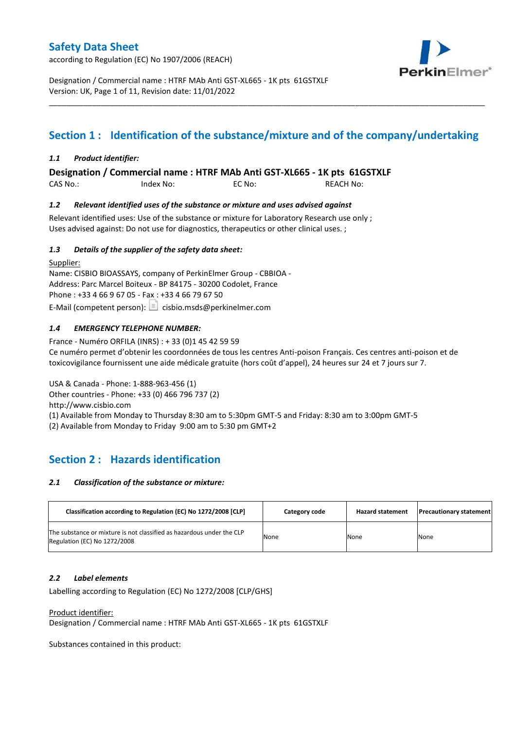according to Regulation (EC) No 1907/2006 (REACH)



Designation / Commercial name : HTRF MAb Anti GST-XL665 - 1K pts 61GSTXLF Version: UK, Page 1 of 11, Revision date: 11/01/2022

# **Section 1 : Identification of the substance/mixture and of the company/undertaking**

\_\_\_\_\_\_\_\_\_\_\_\_\_\_\_\_\_\_\_\_\_\_\_\_\_\_\_\_\_\_\_\_\_\_\_\_\_\_\_\_\_\_\_\_\_\_\_\_\_\_\_\_\_\_\_\_\_\_\_\_\_\_\_\_\_\_\_\_\_\_\_\_\_\_\_\_\_\_\_\_\_\_\_\_\_\_\_\_\_\_\_\_\_\_\_\_\_\_\_\_\_

### *1.1 Product identifier:*

**Designation / Commercial name : HTRF MAb Anti GST-XL665 - 1K pts 61GSTXLF** 

| CAS No.: | Index No: | EC No: | <b>REACH No:</b> |
|----------|-----------|--------|------------------|
|          |           |        |                  |

### *1.2 Relevant identified uses of the substance or mixture and uses advised against*

Relevant identified uses: Use of the substance or mixture for Laboratory Research use only ; Uses advised against: Do not use for diagnostics, therapeutics or other clinical uses. ;

### *1.3 Details of the supplier of the safety data sheet:*

Supplier: Name: CISBIO BIOASSAYS, company of PerkinElmer Group - CBBIOA - Address: Parc Marcel Boiteux - BP 84175 - 30200 Codolet, France Phone : +33 4 66 9 67 05 - Fax : +33 4 66 79 67 50 E-Mail (competent person):  $\boxed{\equiv}$  cisbio.msds@perkinelmer.com

### *1.4 EMERGENCY TELEPHONE NUMBER:*

France - Numéro ORFILA (INRS) : + 33 (0)1 45 42 59 59 Ce numéro permet d'obtenir les coordonnées de tous les centres Anti-poison Français. Ces centres anti-poison et de toxicovigilance fournissent une aide médicale gratuite (hors coût d'appel), 24 heures sur 24 et 7 jours sur 7.

USA & Canada - Phone: 1-888-963-456 (1) Other countries - Phone: +33 (0) 466 796 737 (2)

http://www.cisbio.com

(1) Available from Monday to Thursday 8:30 am to 5:30pm GMT-5 and Friday: 8:30 am to 3:00pm GMT-5

(2) Available from Monday to Friday 9:00 am to 5:30 pm GMT+2

# **Section 2 : Hazards identification**

#### *2.1 Classification of the substance or mixture:*

| Classification according to Regulation (EC) No 1272/2008 [CLP]                                        | Category code | <b>Hazard statement</b> | <b>Precautionary statement</b> |
|-------------------------------------------------------------------------------------------------------|---------------|-------------------------|--------------------------------|
| The substance or mixture is not classified as hazardous under the CLP<br>Regulation (EC) No 1272/2008 | None          | None                    | None                           |

#### *2.2 Label elements*

Labelling according to Regulation (EC) No 1272/2008 [CLP/GHS]

Product identifier:

Designation / Commercial name : HTRF MAb Anti GST-XL665 - 1K pts 61GSTXLF

Substances contained in this product: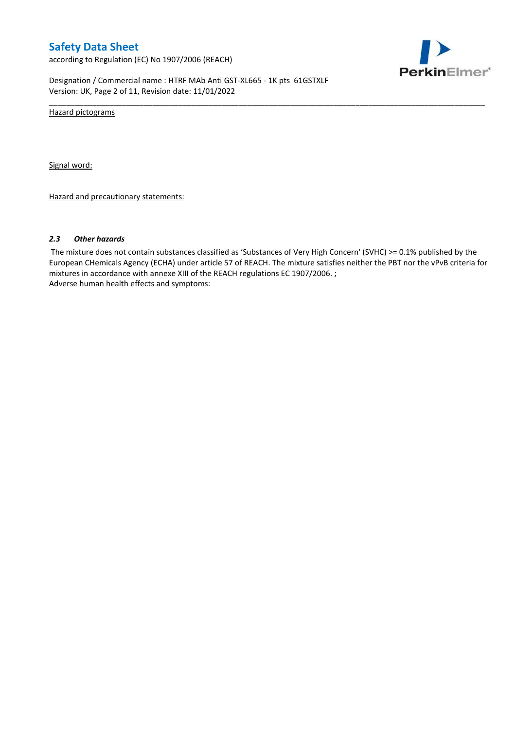according to Regulation (EC) No 1907/2006 (REACH)



Designation / Commercial name : HTRF MAb Anti GST-XL665 - 1K pts 61GSTXLF Version: UK, Page 2 of 11, Revision date: 11/01/2022

Hazard pictograms

Signal word:

Hazard and precautionary statements:

#### *2.3 Other hazards*

The mixture does not contain substances classified as 'Substances of Very High Concern' (SVHC) >= 0.1% published by the European CHemicals Agency (ECHA) under article 57 of REACH. The mixture satisfies neither the PBT nor the vPvB criteria for mixtures in accordance with annexe XIII of the REACH regulations EC 1907/2006. ; Adverse human health effects and symptoms:

\_\_\_\_\_\_\_\_\_\_\_\_\_\_\_\_\_\_\_\_\_\_\_\_\_\_\_\_\_\_\_\_\_\_\_\_\_\_\_\_\_\_\_\_\_\_\_\_\_\_\_\_\_\_\_\_\_\_\_\_\_\_\_\_\_\_\_\_\_\_\_\_\_\_\_\_\_\_\_\_\_\_\_\_\_\_\_\_\_\_\_\_\_\_\_\_\_\_\_\_\_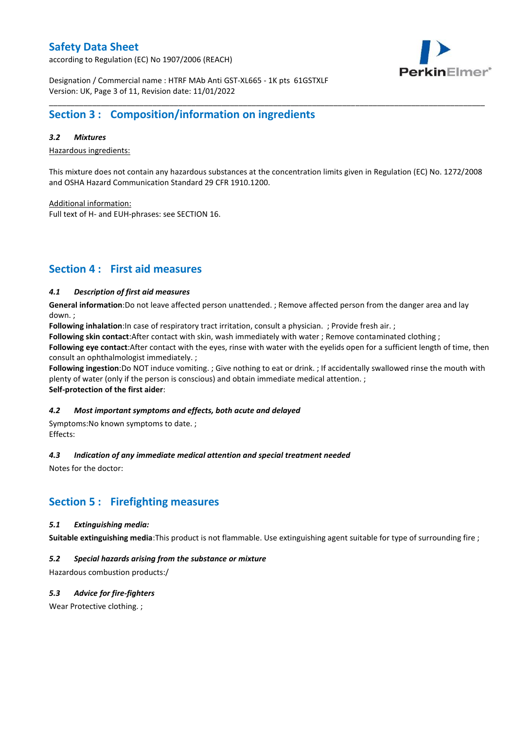according to Regulation (EC) No 1907/2006 (REACH)



Designation / Commercial name : HTRF MAb Anti GST-XL665 - 1K pts 61GSTXLF Version: UK, Page 3 of 11, Revision date: 11/01/2022

# **Section 3 : Composition/information on ingredients**

### *3.2 Mixtures*

Hazardous ingredients:

This mixture does not contain any hazardous substances at the concentration limits given in Regulation (EC) No. 1272/2008 and OSHA Hazard Communication Standard 29 CFR 1910.1200.

\_\_\_\_\_\_\_\_\_\_\_\_\_\_\_\_\_\_\_\_\_\_\_\_\_\_\_\_\_\_\_\_\_\_\_\_\_\_\_\_\_\_\_\_\_\_\_\_\_\_\_\_\_\_\_\_\_\_\_\_\_\_\_\_\_\_\_\_\_\_\_\_\_\_\_\_\_\_\_\_\_\_\_\_\_\_\_\_\_\_\_\_\_\_\_\_\_\_\_\_\_

Additional information:

Full text of H- and EUH-phrases: see SECTION 16.

# **Section 4 : First aid measures**

### *4.1 Description of first aid measures*

**General information**:Do not leave affected person unattended. ; Remove affected person from the danger area and lay down. ;

**Following inhalation**:In case of respiratory tract irritation, consult a physician. ; Provide fresh air. ;

**Following skin contact**:After contact with skin, wash immediately with water ; Remove contaminated clothing ;

**Following eye contact**:After contact with the eyes, rinse with water with the eyelids open for a sufficient length of time, then consult an ophthalmologist immediately. ;

**Following ingestion**:Do NOT induce vomiting. ; Give nothing to eat or drink. ; If accidentally swallowed rinse the mouth with plenty of water (only if the person is conscious) and obtain immediate medical attention. ; **Self-protection of the first aider**:

#### *4.2 Most important symptoms and effects, both acute and delayed*

Symptoms:No known symptoms to date. ; Effects:

#### *4.3 Indication of any immediate medical attention and special treatment needed*

Notes for the doctor:

## **Section 5 : Firefighting measures**

### *5.1 Extinguishing media:*

**Suitable extinguishing media**:This product is not flammable. Use extinguishing agent suitable for type of surrounding fire ;

### *5.2 Special hazards arising from the substance or mixture*

Hazardous combustion products:/

### *5.3 Advice for fire-fighters*

Wear Protective clothing.;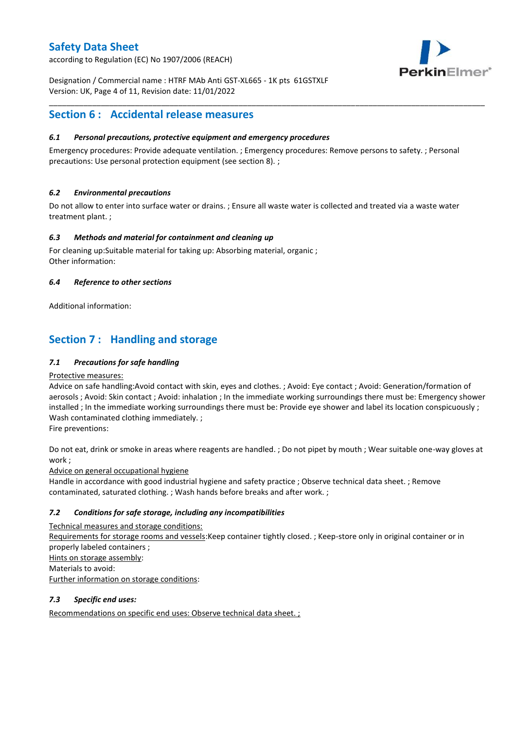according to Regulation (EC) No 1907/2006 (REACH)



Designation / Commercial name : HTRF MAb Anti GST-XL665 - 1K pts 61GSTXLF Version: UK, Page 4 of 11, Revision date: 11/01/2022

# **Section 6 : Accidental release measures**

### *6.1 Personal precautions, protective equipment and emergency procedures*

Emergency procedures: Provide adequate ventilation. ; Emergency procedures: Remove persons to safety. ; Personal precautions: Use personal protection equipment (see section 8). ;

\_\_\_\_\_\_\_\_\_\_\_\_\_\_\_\_\_\_\_\_\_\_\_\_\_\_\_\_\_\_\_\_\_\_\_\_\_\_\_\_\_\_\_\_\_\_\_\_\_\_\_\_\_\_\_\_\_\_\_\_\_\_\_\_\_\_\_\_\_\_\_\_\_\_\_\_\_\_\_\_\_\_\_\_\_\_\_\_\_\_\_\_\_\_\_\_\_\_\_\_\_

### *6.2 Environmental precautions*

Do not allow to enter into surface water or drains. ; Ensure all waste water is collected and treated via a waste water treatment plant. ;

### *6.3 Methods and material for containment and cleaning up*

For cleaning up:Suitable material for taking up: Absorbing material, organic ; Other information:

### *6.4 Reference to other sections*

Additional information:

# **Section 7 : Handling and storage**

### *7.1 Precautions for safe handling*

#### Protective measures:

Advice on safe handling:Avoid contact with skin, eyes and clothes. ; Avoid: Eye contact ; Avoid: Generation/formation of aerosols ; Avoid: Skin contact ; Avoid: inhalation ; In the immediate working surroundings there must be: Emergency shower installed ; In the immediate working surroundings there must be: Provide eye shower and label its location conspicuously ; Wash contaminated clothing immediately. ;

Fire preventions:

Do not eat, drink or smoke in areas where reagents are handled. ; Do not pipet by mouth ; Wear suitable one-way gloves at work ;

Advice on general occupational hygiene

Handle in accordance with good industrial hygiene and safety practice ; Observe technical data sheet. ; Remove contaminated, saturated clothing. ; Wash hands before breaks and after work. ;

### *7.2 Conditions for safe storage, including any incompatibilities*

Technical measures and storage conditions: Requirements for storage rooms and vessels:Keep container tightly closed. ; Keep-store only in original container or in properly labeled containers ; Hints on storage assembly: Materials to avoid: Further information on storage conditions:

### *7.3 Specific end uses:*

Recommendations on specific end uses: Observe technical data sheet. ;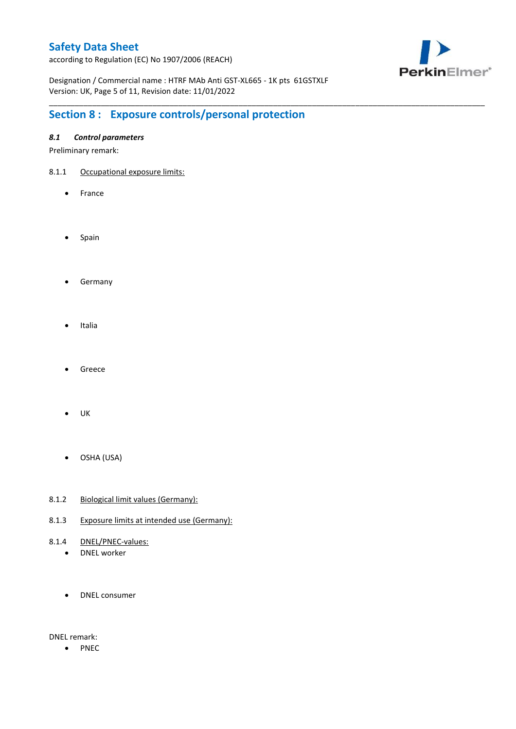according to Regulation (EC) No 1907/2006 (REACH)



Designation / Commercial name : HTRF MAb Anti GST-XL665 - 1K pts 61GSTXLF Version: UK, Page 5 of 11, Revision date: 11/01/2022

\_\_\_\_\_\_\_\_\_\_\_\_\_\_\_\_\_\_\_\_\_\_\_\_\_\_\_\_\_\_\_\_\_\_\_\_\_\_\_\_\_\_\_\_\_\_\_\_\_\_\_\_\_\_\_\_\_\_\_\_\_\_\_\_\_\_\_\_\_\_\_\_\_\_\_\_\_\_\_\_\_\_\_\_\_\_\_\_\_\_\_\_\_\_\_\_\_\_\_\_\_

# **Section 8 : Exposure controls/personal protection**

### *8.1 Control parameters*

Preliminary remark:

- 8.1.1 Occupational exposure limits:
	- France
	- Spain
	- **•** Germany
	- Italia
	- Greece
	- $\bullet$  UK
	- OSHA (USA)
- 8.1.2 Biological limit values (Germany):
- 8.1.3 Exposure limits at intended use (Germany):
- 8.1.4 DNEL/PNEC-values:
	- DNEL worker
	- DNEL consumer

DNEL remark:

• PNEC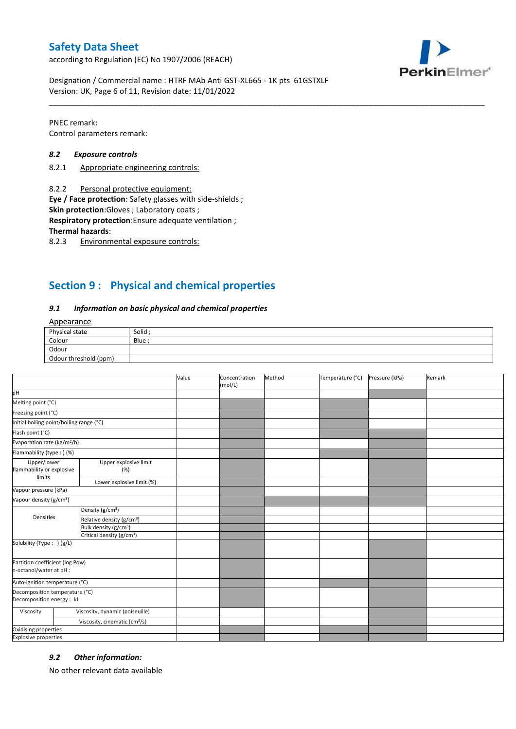according to Regulation (EC) No 1907/2006 (REACH)



Designation / Commercial name : HTRF MAb Anti GST-XL665 - 1K pts 61GSTXLF Version: UK, Page 6 of 11, Revision date: 11/01/2022

PNEC remark: Control parameters remark:

#### *8.2 Exposure controls*

- 8.2.1 Appropriate engineering controls:
- 8.2.2 Personal protective equipment:

**Eye / Face protection**: Safety glasses with side-shields ;

**Skin protection**:Gloves ; Laboratory coats ;

**Respiratory protection**:Ensure adequate ventilation ;

**Thermal hazards**:

8.2.3 Environmental exposure controls:

# **Section 9 : Physical and chemical properties**

#### *9.1 Information on basic physical and chemical properties*

### Appearance

| Physical state        | Solid  |
|-----------------------|--------|
| Colour                | Blue ; |
| Odour                 |        |
| Odour threshold (ppm) |        |

\_\_\_\_\_\_\_\_\_\_\_\_\_\_\_\_\_\_\_\_\_\_\_\_\_\_\_\_\_\_\_\_\_\_\_\_\_\_\_\_\_\_\_\_\_\_\_\_\_\_\_\_\_\_\_\_\_\_\_\_\_\_\_\_\_\_\_\_\_\_\_\_\_\_\_\_\_\_\_\_\_\_\_\_\_\_\_\_\_\_\_\_\_\_\_\_\_\_\_\_\_

|                                                             |                                           | Value | Concentration<br>(mol/L) | Method | Temperature (°C) | Pressure (kPa) | Remark |
|-------------------------------------------------------------|-------------------------------------------|-------|--------------------------|--------|------------------|----------------|--------|
| pH                                                          |                                           |       |                          |        |                  |                |        |
| Melting point (°C)                                          |                                           |       |                          |        |                  |                |        |
| Freezing point (°C)                                         |                                           |       |                          |        |                  |                |        |
| Initial boiling point/boiling range (°C)                    |                                           |       |                          |        |                  |                |        |
| Flash point (°C)                                            |                                           |       |                          |        |                  |                |        |
| Evaporation rate (kg/m <sup>2</sup> /h)                     |                                           |       |                          |        |                  |                |        |
| Flammability (type: ) (%)                                   |                                           |       |                          |        |                  |                |        |
| Upper/lower<br>flammability or explosive<br>limits          | Upper explosive limit<br>(%)              |       |                          |        |                  |                |        |
|                                                             | Lower explosive limit (%)                 |       |                          |        |                  |                |        |
| Vapour pressure (kPa)                                       |                                           |       |                          |        |                  |                |        |
| Vapour density (g/cm <sup>3</sup> )                         |                                           |       |                          |        |                  |                |        |
|                                                             | Density (g/cm <sup>3</sup> )              |       |                          |        |                  |                |        |
| Densities                                                   | Relative density (g/cm <sup>3</sup> )     |       |                          |        |                  |                |        |
|                                                             | Bulk density (g/cm <sup>3</sup> )         |       |                          |        |                  |                |        |
|                                                             | Critical density (g/cm <sup>3</sup> )     |       |                          |        |                  |                |        |
| Solubility (Type: ) (g/L)                                   |                                           |       |                          |        |                  |                |        |
| Partition coefficient (log Pow)<br>n-octanol/water at pH :  |                                           |       |                          |        |                  |                |        |
| Auto-ignition temperature (°C)                              |                                           |       |                          |        |                  |                |        |
| Decomposition temperature (°C)<br>Decomposition energy : kJ |                                           |       |                          |        |                  |                |        |
| Viscosity                                                   | Viscosity, dynamic (poiseuille)           |       |                          |        |                  |                |        |
|                                                             | Viscosity, cinematic (cm <sup>3</sup> /s) |       |                          |        |                  |                |        |
| Oxidising properties                                        |                                           |       |                          |        |                  |                |        |
| <b>Explosive properties</b>                                 |                                           |       |                          |        |                  |                |        |

#### *9.2 Other information:*

No other relevant data available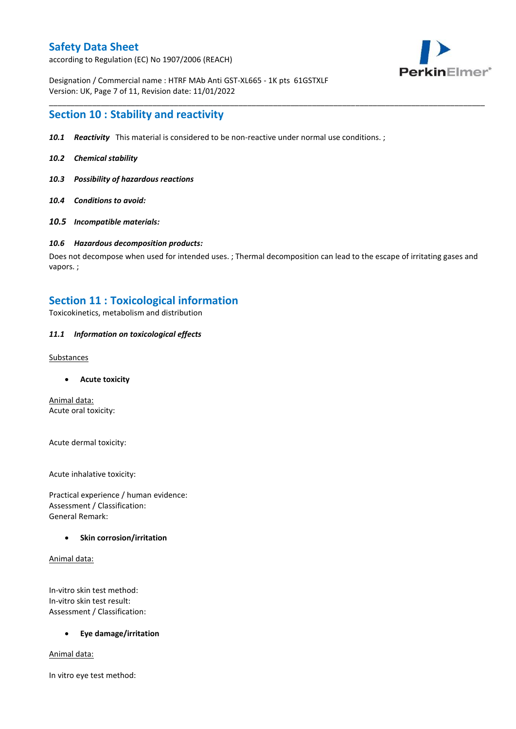according to Regulation (EC) No 1907/2006 (REACH)



Designation / Commercial name : HTRF MAb Anti GST-XL665 - 1K pts 61GSTXLF Version: UK, Page 7 of 11, Revision date: 11/01/2022

### **Section 10 : Stability and reactivity**

- *10.1 Reactivity* This material is considered to be non-reactive under normal use conditions. ;
- *10.2 Chemical stability*
- *10.3 Possibility of hazardous reactions*
- *10.4 Conditions to avoid:*
- *10.5 Incompatible materials:*

#### *10.6 Hazardous decomposition products:*

Does not decompose when used for intended uses. ; Thermal decomposition can lead to the escape of irritating gases and vapors. ;

\_\_\_\_\_\_\_\_\_\_\_\_\_\_\_\_\_\_\_\_\_\_\_\_\_\_\_\_\_\_\_\_\_\_\_\_\_\_\_\_\_\_\_\_\_\_\_\_\_\_\_\_\_\_\_\_\_\_\_\_\_\_\_\_\_\_\_\_\_\_\_\_\_\_\_\_\_\_\_\_\_\_\_\_\_\_\_\_\_\_\_\_\_\_\_\_\_\_\_\_\_

### **Section 11 : Toxicological information**

Toxicokinetics, metabolism and distribution

#### *11.1 Information on toxicological effects*

#### **Substances**

**Acute toxicity**

Animal data: Acute oral toxicity:

Acute dermal toxicity:

Acute inhalative toxicity:

Practical experience / human evidence: Assessment / Classification: General Remark:

#### **Skin corrosion/irritation**

Animal data:

In-vitro skin test method: In-vitro skin test result: Assessment / Classification:

#### **Eye damage/irritation**

Animal data:

In vitro eye test method: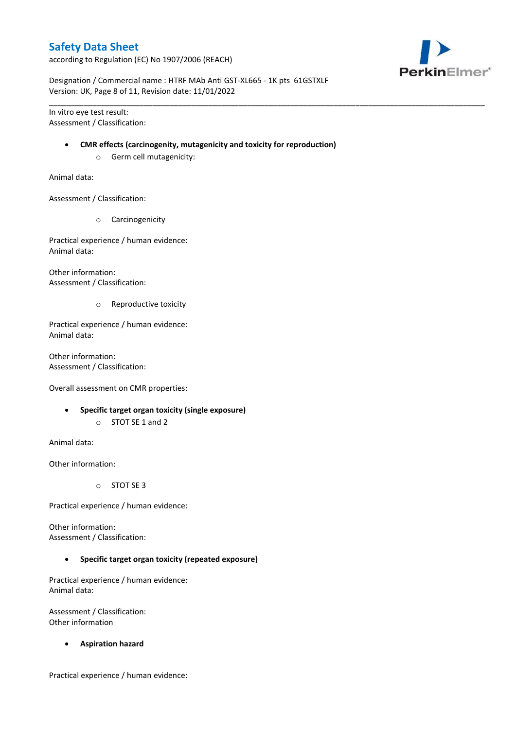according to Regulation (EC) No 1907/2006 (REACH)



Designation / Commercial name : HTRF MAb Anti GST-XL665 - 1K pts 61GSTXLF Version: UK, Page 8 of 11, Revision date: 11/01/2022

In vitro eye test result: Assessment / Classification:

#### **CMR effects (carcinogenity, mutagenicity and toxicity for reproduction)**

\_\_\_\_\_\_\_\_\_\_\_\_\_\_\_\_\_\_\_\_\_\_\_\_\_\_\_\_\_\_\_\_\_\_\_\_\_\_\_\_\_\_\_\_\_\_\_\_\_\_\_\_\_\_\_\_\_\_\_\_\_\_\_\_\_\_\_\_\_\_\_\_\_\_\_\_\_\_\_\_\_\_\_\_\_\_\_\_\_\_\_\_\_\_\_\_\_\_\_\_\_

o Germ cell mutagenicity:

Animal data:

Assessment / Classification:

o Carcinogenicity

Practical experience / human evidence: Animal data:

Other information: Assessment / Classification:

o Reproductive toxicity

Practical experience / human evidence: Animal data:

Other information: Assessment / Classification:

Overall assessment on CMR properties:

- **Specific target organ toxicity (single exposure)**
	- o STOT SE 1 and 2

Animal data:

Other information:

o STOT SE 3

Practical experience / human evidence:

Other information: Assessment / Classification:

**Specific target organ toxicity (repeated exposure)**

Practical experience / human evidence: Animal data:

Assessment / Classification: Other information

**Aspiration hazard**

Practical experience / human evidence: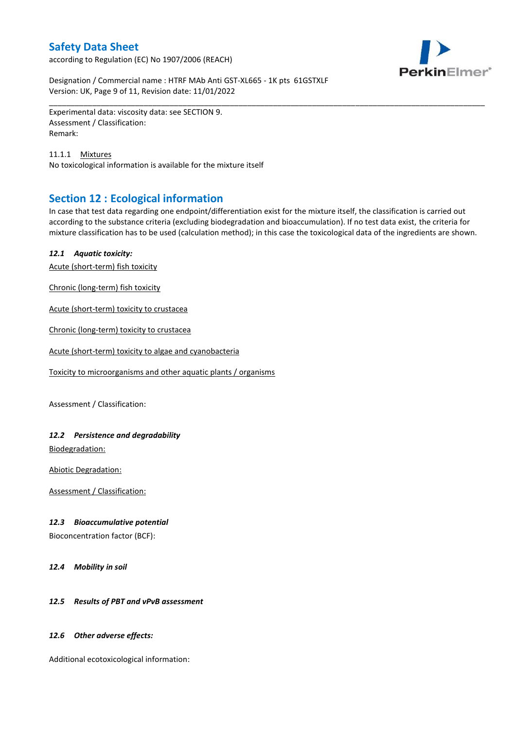according to Regulation (EC) No 1907/2006 (REACH)



Designation / Commercial name : HTRF MAb Anti GST-XL665 - 1K pts 61GSTXLF Version: UK, Page 9 of 11, Revision date: 11/01/2022

Experimental data: viscosity data: see SECTION 9. Assessment / Classification: Remark:

11.1.1 Mixtures No toxicological information is available for the mixture itself

# **Section 12 : Ecological information**

In case that test data regarding one endpoint/differentiation exist for the mixture itself, the classification is carried out according to the substance criteria (excluding biodegradation and bioaccumulation). If no test data exist, the criteria for mixture classification has to be used (calculation method); in this case the toxicological data of the ingredients are shown.

\_\_\_\_\_\_\_\_\_\_\_\_\_\_\_\_\_\_\_\_\_\_\_\_\_\_\_\_\_\_\_\_\_\_\_\_\_\_\_\_\_\_\_\_\_\_\_\_\_\_\_\_\_\_\_\_\_\_\_\_\_\_\_\_\_\_\_\_\_\_\_\_\_\_\_\_\_\_\_\_\_\_\_\_\_\_\_\_\_\_\_\_\_\_\_\_\_\_\_\_\_

### *12.1 Aquatic toxicity:*

Acute (short-term) fish toxicity

Chronic (long-term) fish toxicity

Acute (short-term) toxicity to crustacea

Chronic (long-term) toxicity to crustacea

Acute (short-term) toxicity to algae and cyanobacteria

Toxicity to microorganisms and other aquatic plants / organisms

Assessment / Classification:

### *12.2 Persistence and degradability*

Biodegradation:

Abiotic Degradation:

Assessment / Classification:

#### *12.3 Bioaccumulative potential*

Bioconcentration factor (BCF):

*12.4 Mobility in soil*

### *12.5 Results of PBT and vPvB assessment*

#### *12.6 Other adverse effects:*

Additional ecotoxicological information: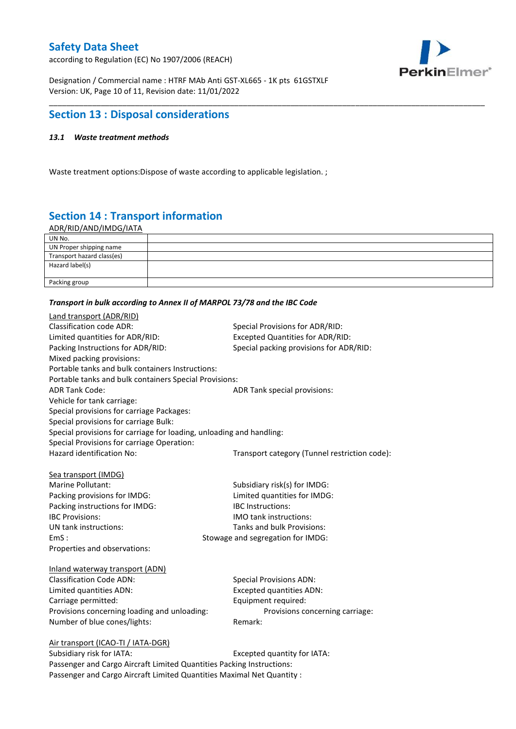according to Regulation (EC) No 1907/2006 (REACH)



Designation / Commercial name : HTRF MAb Anti GST-XL665 - 1K pts 61GSTXLF Version: UK, Page 10 of 11, Revision date: 11/01/2022

# **Section 13 : Disposal considerations**

### *13.1 Waste treatment methods*

Waste treatment options:Dispose of waste according to applicable legislation. ;

# **Section 14 : Transport information**

ADR/RID/AND/IMDG/IATA

| UN No.                     |  |
|----------------------------|--|
| UN Proper shipping name    |  |
| Transport hazard class(es) |  |
| Hazard label(s)            |  |
|                            |  |
| Packing group              |  |

\_\_\_\_\_\_\_\_\_\_\_\_\_\_\_\_\_\_\_\_\_\_\_\_\_\_\_\_\_\_\_\_\_\_\_\_\_\_\_\_\_\_\_\_\_\_\_\_\_\_\_\_\_\_\_\_\_\_\_\_\_\_\_\_\_\_\_\_\_\_\_\_\_\_\_\_\_\_\_\_\_\_\_\_\_\_\_\_\_\_\_\_\_\_\_\_\_\_\_\_\_

#### *Transport in bulk according to Annex II of MARPOL 73/78 and the IBC Code*

| Land transport (ADR/RID)                                             |                                               |
|----------------------------------------------------------------------|-----------------------------------------------|
| <b>Classification code ADR:</b>                                      | Special Provisions for ADR/RID:               |
| Limited quantities for ADR/RID:                                      | <b>Excepted Quantities for ADR/RID:</b>       |
| Packing Instructions for ADR/RID:                                    | Special packing provisions for ADR/RID:       |
| Mixed packing provisions:                                            |                                               |
| Portable tanks and bulk containers Instructions:                     |                                               |
| Portable tanks and bulk containers Special Provisions:               |                                               |
| <b>ADR Tank Code:</b>                                                | ADR Tank special provisions:                  |
| Vehicle for tank carriage:                                           |                                               |
| Special provisions for carriage Packages:                            |                                               |
| Special provisions for carriage Bulk:                                |                                               |
| Special provisions for carriage for loading, unloading and handling: |                                               |
| Special Provisions for carriage Operation:                           |                                               |
| Hazard identification No:                                            | Transport category (Tunnel restriction code): |
|                                                                      |                                               |
| Sea transport (IMDG)                                                 |                                               |
| Marine Pollutant:                                                    | Subsidiary risk(s) for IMDG:                  |
| Packing provisions for IMDG:                                         | Limited quantities for IMDG:                  |
| Packing instructions for IMDG:                                       | <b>IBC</b> Instructions:                      |
| <b>IBC Provisions:</b>                                               | IMO tank instructions:                        |
| UN tank instructions:                                                | Tanks and bulk Provisions:                    |
| EmS:                                                                 | Stowage and segregation for IMDG:             |
| Properties and observations:                                         |                                               |
| Inland waterway transport (ADN)                                      |                                               |
| <b>Classification Code ADN:</b>                                      | <b>Special Provisions ADN:</b>                |
| Limited quantities ADN:                                              | <b>Excepted quantities ADN:</b>               |
| Carriage permitted:                                                  | Equipment required:                           |
| Provisions concerning loading and unloading:                         | Provisions concerning carriage:               |
| Number of blue cones/lights:                                         | Remark:                                       |
|                                                                      |                                               |
| Air transport (ICAO-TI / IATA-DGR)                                   |                                               |
| Subsidiary risk for IATA.                                            | Excented quantity for IATA.                   |

Subsidiary risk for IATA: Excepted quantity for IATA: Passenger and Cargo Aircraft Limited Quantities Packing Instructions: Passenger and Cargo Aircraft Limited Quantities Maximal Net Quantity :